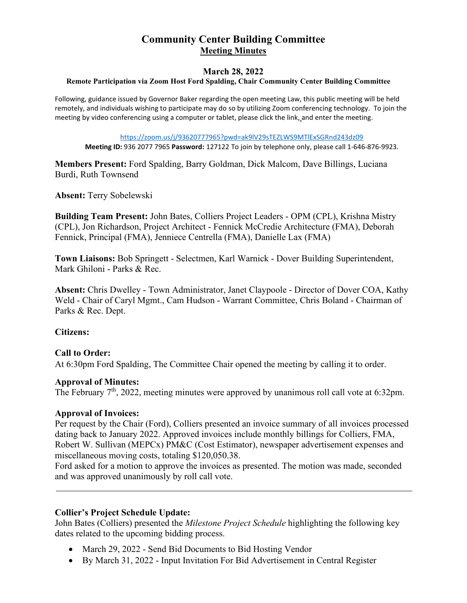# **Community Center Building Committee Meeting Minutes**

# **March 28, 2022**<br>Remote Participation via Zoom Host Ford Spalding, Chair Community Center Building Committee

Following, guidance issued by Governor Baker regarding the open meeting Law, this public meeting will be held remotely, and individuals wishing to participate may do so by utilizing Zoom conferencing technology. To join the meeting by video conferencing using a computer or tablet, please click the link, and enter the meeting.

[https://zoom.us/j/93620777965?pwd=ak9lV29sTEZLWS9MTlExSGRnd243dz09](https://protect-us.mimecast.com/s/ULsnCNkWZRSV2PLkij54qO?domain=zoom.us)

**Meeting ID:** 936 2077 7965 **Password:** 127122 To join by telephone only, please call 1-646-876-9923.

**Members Present:** Ford Spalding, Barry Goldman, Dick Malcom, Dave Billings, Luciana Burdi, Ruth Townsend

**Absent:** Terry Sobelewski

**Building Team Present:** John Bates, Colliers Project Leaders - OPM (CPL), Krishna Mistry (CPL), Jon Richardson, Project Architect - Fennick McCredie Architecture (FMA), Deborah Fennick, Principal (FMA), Jenniece Centrella (FMA), Danielle Lax (FMA)

**Town Liaisons:** Bob Springett - Selectmen, Karl Warnick - Dover Building Superintendent, Mark Ghiloni - Parks & Rec.

**Absent:** Chris Dwelley - Town Administrator, Janet Claypoole - Director of Dover COA, Kathy Weld - Chair of Caryl Mgmt., Cam Hudson - Warrant Committee, Chris Boland - Chairman of Parks & Rec. Dept.

#### **Citizens:**

#### **Call to Order:**

At 6:30pm Ford Spalding, The Committee Chair opened the meeting by calling it to order.

#### **Approval of Minutes:**

The February 7<sup>th</sup>, 2022, meeting minutes were approved by unanimous roll call vote at 6:32pm.

#### **Approval of Invoices:**

Per request by the Chair (Ford), Colliers presented an invoice summary of all invoices processed dating back to January 2022. Approved invoices include monthly billings for Colliers, FMA, Robert W. Sullivan (MEPCx) PM&C (Cost Estimator), newspaper advertisement expenses and miscellaneous moving costs, totaling \$120,050.38.

Ford asked for a motion to approve the invoices as presented. The motion was made, seconded and was approved unanimously by roll call vote.

#### **Collier's Project Schedule Update:**

John Bates (Colliers) presented the *Milestone Project Schedule* highlighting the following key dates related to the upcoming bidding process.

- March 29, 2022 Send Bid Documents to Bid Hosting Vendor
- By March 31, 2022 Input Invitation For Bid Advertisement in Central Register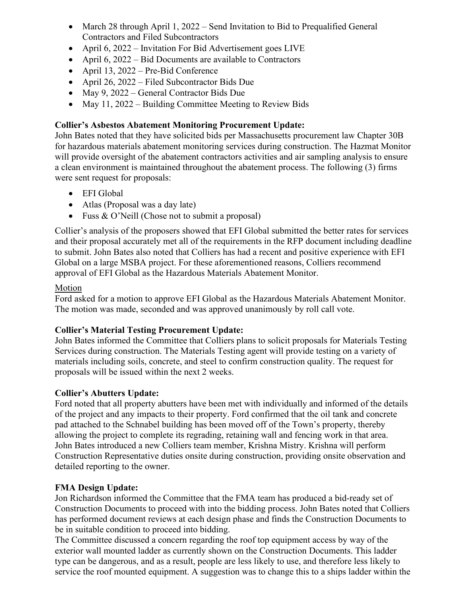- March 28 through April 1, 2022 Send Invitation to Bid to Prequalified General Contractors and Filed Subcontractors
- April 6, 2022 Invitation For Bid Advertisement goes LIVE
- April 6, 2022 Bid Documents are available to Contractors
- April 13, 2022 Pre-Bid Conference
- April 26, 2022 Filed Subcontractor Bids Due
- May 9, 2022 General Contractor Bids Due
- May 11, 2022 Building Committee Meeting to Review Bids

# **Collier's Asbestos Abatement Monitoring Procurement Update:**

John Bates noted that they have solicited bids per Massachusetts procurement law Chapter 30B for hazardous materials abatement monitoring services during construction. The Hazmat Monitor will provide oversight of the abatement contractors activities and air sampling analysis to ensure a clean environment is maintained throughout the abatement process. The following (3) firms were sent request for proposals:

- EFI Global
- Atlas (Proposal was a day late)
- Fuss & O'Neill (Chose not to submit a proposal)

Collier's analysis of the proposers showed that EFI Global submitted the better rates for services and their proposal accurately met all of the requirements in the RFP document including deadline to submit. John Bates also noted that Colliers has had a recent and positive experience with EFI Global on a large MSBA project. For these aforementioned reasons, Colliers recommend approval of EFI Global as the Hazardous Materials Abatement Monitor.

# Motion

Ford asked for a motion to approve EFI Global as the Hazardous Materials Abatement Monitor. The motion was made, seconded and was approved unanimously by roll call vote.

# **Collier's Material Testing Procurement Update:**

John Bates informed the Committee that Colliers plans to solicit proposals for Materials Testing Services during construction. The Materials Testing agent will provide testing on a variety of materials including soils, concrete, and steel to confirm construction quality. The request for proposals will be issued within the next 2 weeks.

# **Collier's Abutters Update:**

Ford noted that all property abutters have been met with individually and informed of the details of the project and any impacts to their property. Ford confirmed that the oil tank and concrete pad attached to the Schnabel building has been moved off of the Town's property, thereby allowing the project to complete its regrading, retaining wall and fencing work in that area. John Bates introduced a new Colliers team member, Krishna Mistry. Krishna will perform Construction Representative duties onsite during construction, providing onsite observation and detailed reporting to the owner.

# **FMA Design Update:**

Jon Richardson informed the Committee that the FMA team has produced a bid-ready set of Construction Documents to proceed with into the bidding process. John Bates noted that Colliers has performed document reviews at each design phase and finds the Construction Documents to be in suitable condition to proceed into bidding.

The Committee discussed a concern regarding the roof top equipment access by way of the exterior wall mounted ladder as currently shown on the Construction Documents. This ladder type can be dangerous, and as a result, people are less likely to use, and therefore less likely to service the roof mounted equipment. A suggestion was to change this to a ships ladder within the